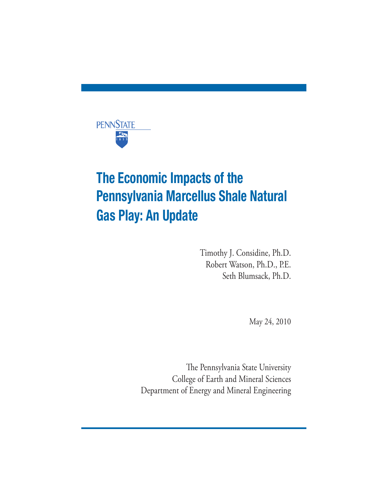

# The Economic Impacts of the Pennsylvania Marcellus Shale Natural Gas Play: An Update

Timothy J. Considine, Ph.D. Robert Watson, Ph.D., P.E. Seth Blumsack, Ph.D.

May 24, 2010

The Pennsylvania State University College of Earth and Mineral Sciences Department of Energy and Mineral Engineering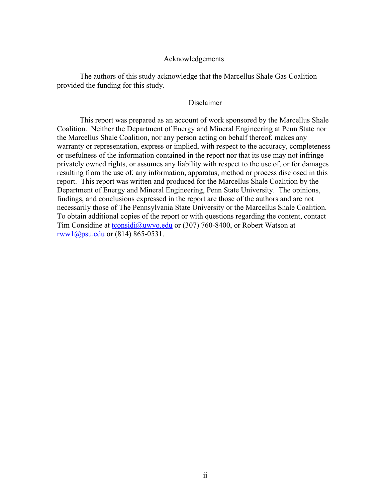#### Acknowledgements

The authors of this study acknowledge that the Marcellus Shale Gas Coalition provided the funding for this study.

#### Disclaimer

This report was prepared as an account of work sponsored by the Marcellus Shale Coalition. Neither the Department of Energy and Mineral Engineering at Penn State nor the Marcellus Shale Coalition, nor any person acting on behalf thereof, makes any warranty or representation, express or implied, with respect to the accuracy, completeness or usefulness of the information contained in the report nor that its use may not infringe privately owned rights, or assumes any liability with respect to the use of, or for damages resulting from the use of, any information, apparatus, method or process disclosed in this report. This report was written and produced for the Marcellus Shale Coalition by the Department of Energy and Mineral Engineering, Penn State University. The opinions, findings, and conclusions expressed in the report are those of the authors and are not necessarily those of The Pennsylvania State University or the Marcellus Shale Coalition. To obtain additional copies of the report or with questions regarding the content, contact Tim Considine at tconsidi@uwyo.edu or (307) 760-8400, or Robert Watson at rww1@psu.edu or (814) 865-0531.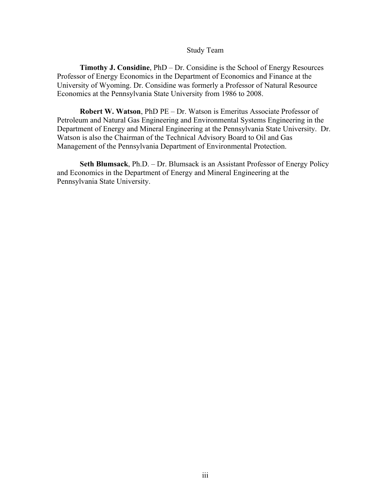#### Study Team

**Timothy J. Considine**, PhD – Dr. Considine is the School of Energy Resources Professor of Energy Economics in the Department of Economics and Finance at the University of Wyoming. Dr. Considine was formerly a Professor of Natural Resource Economics at the Pennsylvania State University from 1986 to 2008.

**Robert W. Watson**, PhD PE – Dr. Watson is Emeritus Associate Professor of Petroleum and Natural Gas Engineering and Environmental Systems Engineering in the Department of Energy and Mineral Engineering at the Pennsylvania State University. Dr. Watson is also the Chairman of the Technical Advisory Board to Oil and Gas Management of the Pennsylvania Department of Environmental Protection.

**Seth Blumsack**, Ph.D. – Dr. Blumsack is an Assistant Professor of Energy Policy and Economics in the Department of Energy and Mineral Engineering at the Pennsylvania State University.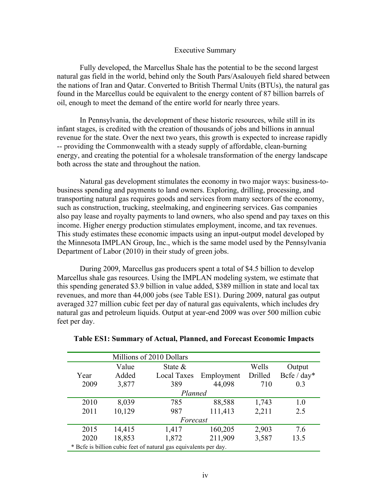#### Executive Summary

Fully developed, the Marcellus Shale has the potential to be the second largest natural gas field in the world, behind only the South Pars/Asalouyeh field shared between the nations of Iran and Qatar. Converted to British Thermal Units (BTUs), the natural gas found in the Marcellus could be equivalent to the energy content of 87 billion barrels of oil, enough to meet the demand of the entire world for nearly three years.

In Pennsylvania, the development of these historic resources, while still in its infant stages, is credited with the creation of thousands of jobs and billions in annual revenue for the state. Over the next two years, this growth is expected to increase rapidly -- providing the Commonwealth with a steady supply of affordable, clean-burning energy, and creating the potential for a wholesale transformation of the energy landscape both across the state and throughout the nation.

Natural gas development stimulates the economy in two major ways: business-tobusiness spending and payments to land owners. Exploring, drilling, processing, and transporting natural gas requires goods and services from many sectors of the economy, such as construction, trucking, steelmaking, and engineering services. Gas companies also pay lease and royalty payments to land owners, who also spend and pay taxes on this income. Higher energy production stimulates employment, income, and tax revenues. This study estimates these economic impacts using an input-output model developed by the Minnesota IMPLAN Group, Inc., which is the same model used by the Pennsylvania Department of Labor (2010) in their study of green jobs.

During 2009, Marcellus gas producers spent a total of \$4.5 billion to develop Marcellus shale gas resources. Using the IMPLAN modeling system, we estimate that this spending generated \$3.9 billion in value added, \$389 million in state and local tax revenues, and more than 44,000 jobs (see Table ES1). During 2009, natural gas output averaged 327 million cubic feet per day of natural gas equivalents, which includes dry natural gas and petroleum liquids. Output at year-end 2009 was over 500 million cubic feet per day.

|          |        | Millions of 2010 Dollars                                         |            |         |             |
|----------|--------|------------------------------------------------------------------|------------|---------|-------------|
|          | Value  | State $\&$                                                       |            | Wells   | Output      |
| Year     | Added  | <b>Local Taxes</b>                                               | Employment | Drilled | Bcfe / day* |
| 2009     | 3,877  | 389                                                              | 44,098     | 710     | 0.3         |
| Planned  |        |                                                                  |            |         |             |
| 2010     | 8,039  | 785                                                              | 88,588     | 1,743   | 1.0         |
| 2011     | 10,129 | 987                                                              | 111,413    | 2,211   | 2.5         |
| Forecast |        |                                                                  |            |         |             |
| 2015     | 14,415 | 1,417                                                            | 160,205    | 2,903   | 7.6         |
| 2020     | 18,853 | 1,872                                                            | 211,909    | 3,587   | 13.5        |
|          |        | * Befe is billion cubic feet of natural gas equivalents per day. |            |         |             |

| Table ES1: Summary of Actual, Planned, and Forecast Economic Impacts |  |  |  |  |
|----------------------------------------------------------------------|--|--|--|--|
|----------------------------------------------------------------------|--|--|--|--|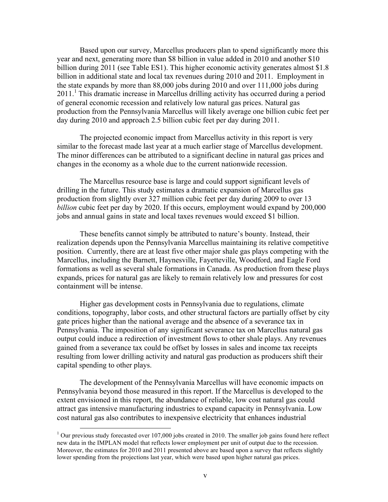Based upon our survey, Marcellus producers plan to spend significantly more this year and next, generating more than \$8 billion in value added in 2010 and another \$10 billion during 2011 (see Table ES1). This higher economic activity generates almost \$1.8 billion in additional state and local tax revenues during 2010 and 2011. Employment in the state expands by more than 88,000 jobs during 2010 and over 111,000 jobs during  $2011<sup>1</sup>$ . This dramatic increase in Marcellus drilling activity has occurred during a period of general economic recession and relatively low natural gas prices. Natural gas production from the Pennsylvania Marcellus will likely average one billion cubic feet per day during 2010 and approach 2.5 billion cubic feet per day during 2011.

The projected economic impact from Marcellus activity in this report is very similar to the forecast made last year at a much earlier stage of Marcellus development. The minor differences can be attributed to a significant decline in natural gas prices and changes in the economy as a whole due to the current nationwide recession.

The Marcellus resource base is large and could support significant levels of drilling in the future. This study estimates a dramatic expansion of Marcellus gas production from slightly over 327 million cubic feet per day during 2009 to over 13 *billion* cubic feet per day by 2020. If this occurs, employment would expand by 200,000 jobs and annual gains in state and local taxes revenues would exceed \$1 billion.

These benefits cannot simply be attributed to nature's bounty. Instead, their realization depends upon the Pennsylvania Marcellus maintaining its relative competitive position. Currently, there are at least five other major shale gas plays competing with the Marcellus, including the Barnett, Haynesville, Fayetteville, Woodford, and Eagle Ford formations as well as several shale formations in Canada. As production from these plays expands, prices for natural gas are likely to remain relatively low and pressures for cost containment will be intense.

Higher gas development costs in Pennsylvania due to regulations, climate conditions, topography, labor costs, and other structural factors are partially offset by city gate prices higher than the national average and the absence of a severance tax in Pennsylvania. The imposition of any significant severance tax on Marcellus natural gas output could induce a redirection of investment flows to other shale plays. Any revenues gained from a severance tax could be offset by losses in sales and income tax receipts resulting from lower drilling activity and natural gas production as producers shift their capital spending to other plays.

The development of the Pennsylvania Marcellus will have economic impacts on Pennsylvania beyond those measured in this report. If the Marcellus is developed to the extent envisioned in this report, the abundance of reliable, low cost natural gas could attract gas intensive manufacturing industries to expand capacity in Pennsylvania. Low cost natural gas also contributes to inexpensive electricity that enhances industrial

<sup>&</sup>lt;sup>1</sup> Our previous study forecasted over 107,000 jobs created in 2010. The smaller job gains found here reflect new data in the IMPLAN model that reflects lower employment per unit of output due to the recession. Moreover, the estimates for 2010 and 2011 presented above are based upon a survey that reflects slightly lower spending from the projections last year, which were based upon higher natural gas prices.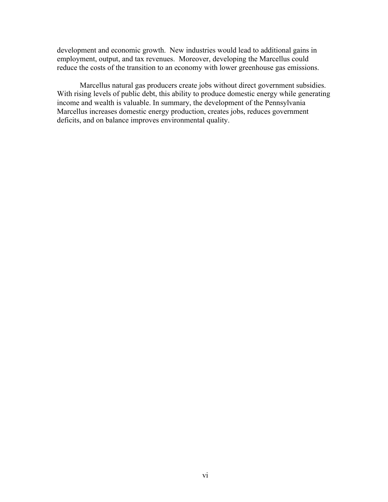development and economic growth. New industries would lead to additional gains in employment, output, and tax revenues. Moreover, developing the Marcellus could reduce the costs of the transition to an economy with lower greenhouse gas emissions.

Marcellus natural gas producers create jobs without direct government subsidies. With rising levels of public debt, this ability to produce domestic energy while generating income and wealth is valuable. In summary, the development of the Pennsylvania Marcellus increases domestic energy production, creates jobs, reduces government deficits, and on balance improves environmental quality.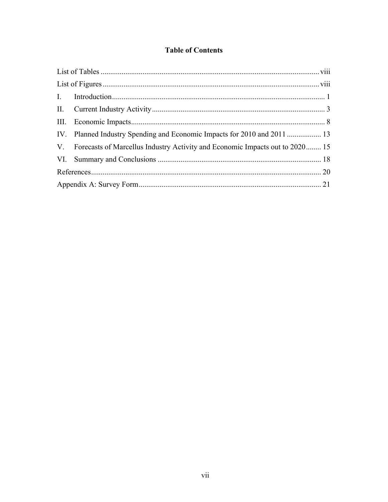## **Table of Contents**

| V. Forecasts of Marcellus Industry Activity and Economic Impacts out to 2020 15 |  |
|---------------------------------------------------------------------------------|--|
|                                                                                 |  |
|                                                                                 |  |
|                                                                                 |  |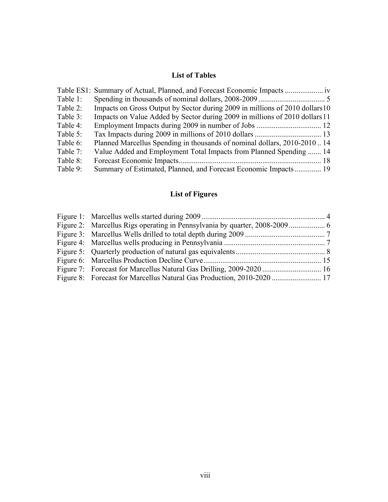## **List of Tables**

|          | Table ES1: Summary of Actual, Planned, and Forecast Economic Impacts         |
|----------|------------------------------------------------------------------------------|
| Table 1: |                                                                              |
| Table 2: | Impacts on Gross Output by Sector during 2009 in millions of 2010 dollars 10 |
| Table 3: | Impacts on Value Added by Sector during 2009 in millions of 2010 dollars 11  |
| Table 4: |                                                                              |
| Table 5: |                                                                              |
| Table 6: | Planned Marcellus Spending in thousands of nominal dollars, 2010-201014      |
| Table 7: | Value Added and Employment Total Impacts from Planned Spending  14           |
| Table 8: |                                                                              |
| Table 9: | Summary of Estimated, Planned, and Forecast Economic Impacts 19              |

# **List of Figures**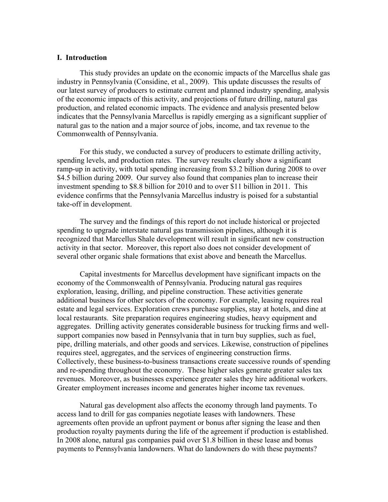#### **I. Introduction**

This study provides an update on the economic impacts of the Marcellus shale gas industry in Pennsylvania (Considine, et al., 2009). This update discusses the results of our latest survey of producers to estimate current and planned industry spending, analysis of the economic impacts of this activity, and projections of future drilling, natural gas production, and related economic impacts. The evidence and analysis presented below indicates that the Pennsylvania Marcellus is rapidly emerging as a significant supplier of natural gas to the nation and a major source of jobs, income, and tax revenue to the Commonwealth of Pennsylvania.

For this study, we conducted a survey of producers to estimate drilling activity, spending levels, and production rates. The survey results clearly show a significant ramp-up in activity, with total spending increasing from \$3.2 billion during 2008 to over \$4.5 billion during 2009. Our survey also found that companies plan to increase their investment spending to \$8.8 billion for 2010 and to over \$11 billion in 2011. This evidence confirms that the Pennsylvania Marcellus industry is poised for a substantial take-off in development.

The survey and the findings of this report do not include historical or projected spending to upgrade interstate natural gas transmission pipelines, although it is recognized that Marcellus Shale development will result in significant new construction activity in that sector. Moreover, this report also does not consider development of several other organic shale formations that exist above and beneath the Marcellus.

Capital investments for Marcellus development have significant impacts on the economy of the Commonwealth of Pennsylvania. Producing natural gas requires exploration, leasing, drilling, and pipeline construction. These activities generate additional business for other sectors of the economy. For example, leasing requires real estate and legal services. Exploration crews purchase supplies, stay at hotels, and dine at local restaurants. Site preparation requires engineering studies, heavy equipment and aggregates. Drilling activity generates considerable business for trucking firms and wellsupport companies now based in Pennsylvania that in turn buy supplies, such as fuel, pipe, drilling materials, and other goods and services. Likewise, construction of pipelines requires steel, aggregates, and the services of engineering construction firms. Collectively, these business-to-business transactions create successive rounds of spending and re-spending throughout the economy. These higher sales generate greater sales tax revenues. Moreover, as businesses experience greater sales they hire additional workers. Greater employment increases income and generates higher income tax revenues.

Natural gas development also affects the economy through land payments. To access land to drill for gas companies negotiate leases with landowners. These agreements often provide an upfront payment or bonus after signing the lease and then production royalty payments during the life of the agreement if production is established. In 2008 alone, natural gas companies paid over \$1.8 billion in these lease and bonus payments to Pennsylvania landowners. What do landowners do with these payments?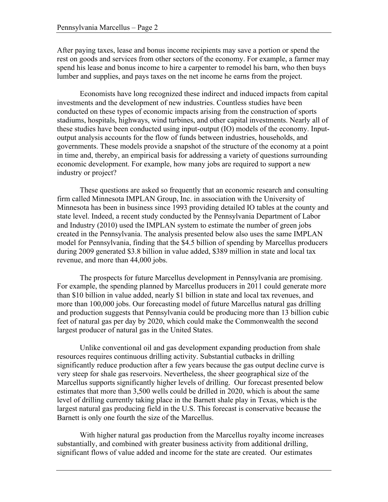After paying taxes, lease and bonus income recipients may save a portion or spend the rest on goods and services from other sectors of the economy. For example, a farmer may spend his lease and bonus income to hire a carpenter to remodel his barn, who then buys lumber and supplies, and pays taxes on the net income he earns from the project.

Economists have long recognized these indirect and induced impacts from capital investments and the development of new industries. Countless studies have been conducted on these types of economic impacts arising from the construction of sports stadiums, hospitals, highways, wind turbines, and other capital investments. Nearly all of these studies have been conducted using input-output (IO) models of the economy. Inputoutput analysis accounts for the flow of funds between industries, households, and governments. These models provide a snapshot of the structure of the economy at a point in time and, thereby, an empirical basis for addressing a variety of questions surrounding economic development. For example, how many jobs are required to support a new industry or project?

These questions are asked so frequently that an economic research and consulting firm called Minnesota IMPLAN Group, Inc. in association with the University of Minnesota has been in business since 1993 providing detailed IO tables at the county and state level. Indeed, a recent study conducted by the Pennsylvania Department of Labor and Industry (2010) used the IMPLAN system to estimate the number of green jobs created in the Pennsylvania. The analysis presented below also uses the same IMPLAN model for Pennsylvania, finding that the \$4.5 billion of spending by Marcellus producers during 2009 generated \$3.8 billion in value added, \$389 million in state and local tax revenue, and more than 44,000 jobs.

The prospects for future Marcellus development in Pennsylvania are promising. For example, the spending planned by Marcellus producers in 2011 could generate more than \$10 billion in value added, nearly \$1 billion in state and local tax revenues, and more than 100,000 jobs. Our forecasting model of future Marcellus natural gas drilling and production suggests that Pennsylvania could be producing more than 13 billion cubic feet of natural gas per day by 2020, which could make the Commonwealth the second largest producer of natural gas in the United States.

Unlike conventional oil and gas development expanding production from shale resources requires continuous drilling activity. Substantial cutbacks in drilling significantly reduce production after a few years because the gas output decline curve is very steep for shale gas reservoirs. Nevertheless, the sheer geographical size of the Marcellus supports significantly higher levels of drilling. Our forecast presented below estimates that more than 3,500 wells could be drilled in 2020, which is about the same level of drilling currently taking place in the Barnett shale play in Texas, which is the largest natural gas producing field in the U.S. This forecast is conservative because the Barnett is only one fourth the size of the Marcellus.

With higher natural gas production from the Marcellus royalty income increases substantially, and combined with greater business activity from additional drilling, significant flows of value added and income for the state are created. Our estimates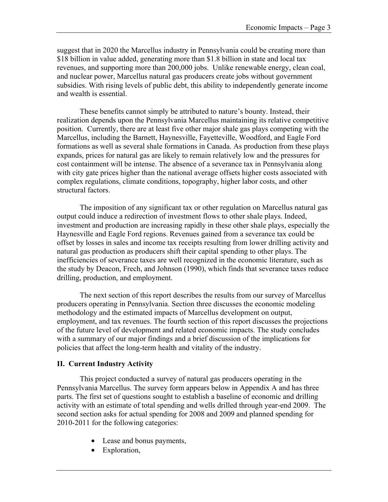suggest that in 2020 the Marcellus industry in Pennsylvania could be creating more than \$18 billion in value added, generating more than \$1.8 billion in state and local tax revenues, and supporting more than 200,000 jobs. Unlike renewable energy, clean coal, and nuclear power, Marcellus natural gas producers create jobs without government subsidies. With rising levels of public debt, this ability to independently generate income and wealth is essential.

These benefits cannot simply be attributed to nature's bounty. Instead, their realization depends upon the Pennsylvania Marcellus maintaining its relative competitive position. Currently, there are at least five other major shale gas plays competing with the Marcellus, including the Barnett, Haynesville, Fayetteville, Woodford, and Eagle Ford formations as well as several shale formations in Canada. As production from these plays expands, prices for natural gas are likely to remain relatively low and the pressures for cost containment will be intense. The absence of a severance tax in Pennsylvania along with city gate prices higher than the national average offsets higher costs associated with complex regulations, climate conditions, topography, higher labor costs, and other structural factors.

The imposition of any significant tax or other regulation on Marcellus natural gas output could induce a redirection of investment flows to other shale plays. Indeed, investment and production are increasing rapidly in these other shale plays, especially the Haynesville and Eagle Ford regions. Revenues gained from a severance tax could be offset by losses in sales and income tax receipts resulting from lower drilling activity and natural gas production as producers shift their capital spending to other plays. The inefficiencies of severance taxes are well recognized in the economic literature, such as the study by Deacon, Frech, and Johnson (1990), which finds that severance taxes reduce drilling, production, and employment.

The next section of this report describes the results from our survey of Marcellus producers operating in Pennsylvania. Section three discusses the economic modeling methodology and the estimated impacts of Marcellus development on output, employment, and tax revenues. The fourth section of this report discusses the projections of the future level of development and related economic impacts. The study concludes with a summary of our major findings and a brief discussion of the implications for policies that affect the long-term health and vitality of the industry.

#### **II. Current Industry Activity**

This project conducted a survey of natural gas producers operating in the Pennsylvania Marcellus. The survey form appears below in Appendix A and has three parts. The first set of questions sought to establish a baseline of economic and drilling activity with an estimate of total spending and wells drilled through year-end 2009. The second section asks for actual spending for 2008 and 2009 and planned spending for 2010-2011 for the following categories:

- Lease and bonus payments,
- Exploration,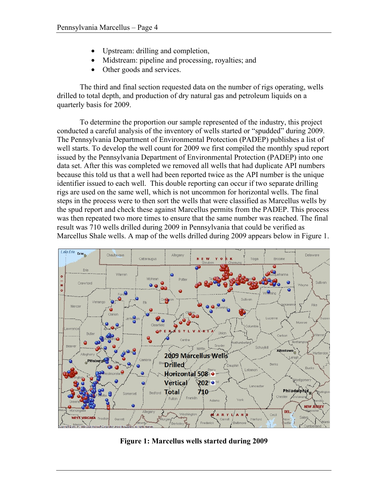- Upstream: drilling and completion,
- Midstream: pipeline and processing, royalties; and
- Other goods and services.

The third and final section requested data on the number of rigs operating, wells drilled to total depth, and production of dry natural gas and petroleum liquids on a quarterly basis for 2009.

To determine the proportion our sample represented of the industry, this project conducted a careful analysis of the inventory of wells started or "spudded" during 2009. The Pennsylvania Department of Environmental Protection (PADEP) publishes a list of well starts. To develop the well count for 2009 we first compiled the monthly spud report issued by the Pennsylvania Department of Environmental Protection (PADEP) into one data set. After this was completed we removed all wells that had duplicate API numbers because this told us that a well had been reported twice as the API number is the unique identifier issued to each well. This double reporting can occur if two separate drilling rigs are used on the same well, which is not uncommon for horizontal wells. The final steps in the process were to then sort the wells that were classified as Marcellus wells by the spud report and check these against Marcellus permits from the PADEP. This process was then repeated two more times to ensure that the same number was reached. The final result was 710 wells drilled during 2009 in Pennsylvania that could be verified as Marcellus Shale wells. A map of the wells drilled during 2009 appears below in Figure 1.



**Figure 1: Marcellus wells started during 2009**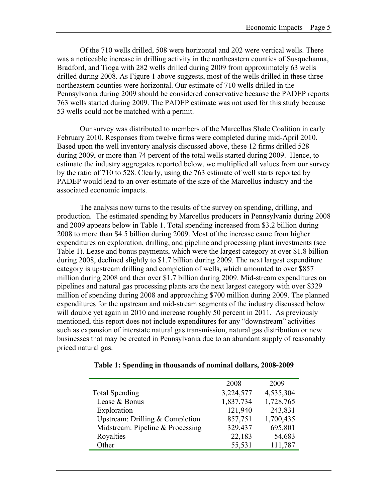Of the 710 wells drilled, 508 were horizontal and 202 were vertical wells. There was a noticeable increase in drilling activity in the northeastern counties of Susquehanna, Bradford, and Tioga with 282 wells drilled during 2009 from approximately 63 wells drilled during 2008. As Figure 1 above suggests, most of the wells drilled in these three northeastern counties were horizontal. Our estimate of 710 wells drilled in the Pennsylvania during 2009 should be considered conservative because the PADEP reports 763 wells started during 2009. The PADEP estimate was not used for this study because 53 wells could not be matched with a permit.

Our survey was distributed to members of the Marcellus Shale Coalition in early February 2010. Responses from twelve firms were completed during mid-April 2010. Based upon the well inventory analysis discussed above, these 12 firms drilled 528 during 2009, or more than 74 percent of the total wells started during 2009. Hence, to estimate the industry aggregates reported below, we multiplied all values from our survey by the ratio of 710 to 528. Clearly, using the 763 estimate of well starts reported by PADEP would lead to an over-estimate of the size of the Marcellus industry and the associated economic impacts.

The analysis now turns to the results of the survey on spending, drilling, and production. The estimated spending by Marcellus producers in Pennsylvania during 2008 and 2009 appears below in Table 1. Total spending increased from \$3.2 billion during 2008 to more than \$4.5 billion during 2009. Most of the increase came from higher expenditures on exploration, drilling, and pipeline and processing plant investments (see Table 1). Lease and bonus payments, which were the largest category at over \$1.8 billion during 2008, declined slightly to \$1.7 billion during 2009. The next largest expenditure category is upstream drilling and completion of wells, which amounted to over \$857 million during 2008 and then over \$1.7 billion during 2009. Mid-stream expenditures on pipelines and natural gas processing plants are the next largest category with over \$329 million of spending during 2008 and approaching \$700 million during 2009. The planned expenditures for the upstream and mid-stream segments of the industry discussed below will double yet again in 2010 and increase roughly 50 percent in 2011. As previously mentioned, this report does not include expenditures for any "downstream" activities such as expansion of interstate natural gas transmission, natural gas distribution or new businesses that may be created in Pennsylvania due to an abundant supply of reasonably priced natural gas.

| Table 1: Spending in thousands of nominal dollars, 2008-2009 |
|--------------------------------------------------------------|
|--------------------------------------------------------------|

|                                   | 2008      | 2009      |
|-----------------------------------|-----------|-----------|
| <b>Total Spending</b>             | 3,224,577 | 4,535,304 |
| Lease & Bonus                     | 1,837,734 | 1,728,765 |
| Exploration                       | 121,940   | 243,831   |
| Upstream: Drilling $&$ Completion | 857,751   | 1,700,435 |
| Midstream: Pipeline & Processing  | 329,437   | 695,801   |
| Royalties                         | 22,183    | 54,683    |
| Other                             | 55,531    | 111,787   |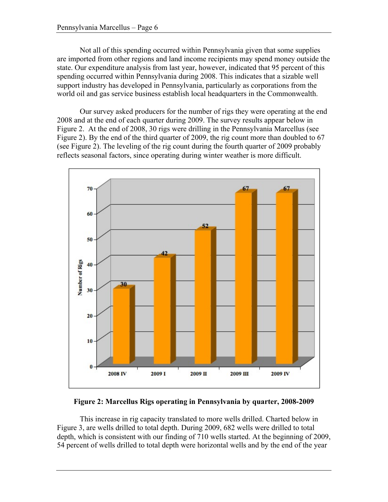Not all of this spending occurred within Pennsylvania given that some supplies are imported from other regions and land income recipients may spend money outside the state. Our expenditure analysis from last year, however, indicated that 95 percent of this spending occurred within Pennsylvania during 2008. This indicates that a sizable well support industry has developed in Pennsylvania, particularly as corporations from the world oil and gas service business establish local headquarters in the Commonwealth.

Our survey asked producers for the number of rigs they were operating at the end 2008 and at the end of each quarter during 2009. The survey results appear below in Figure 2. At the end of 2008, 30 rigs were drilling in the Pennsylvania Marcellus (see Figure 2). By the end of the third quarter of 2009, the rig count more than doubled to 67 (see Figure 2). The leveling of the rig count during the fourth quarter of 2009 probably reflects seasonal factors, since operating during winter weather is more difficult.



**Figure 2: Marcellus Rigs operating in Pennsylvania by quarter, 2008-2009**

This increase in rig capacity translated to more wells drilled. Charted below in Figure 3, are wells drilled to total depth. During 2009, 682 wells were drilled to total depth, which is consistent with our finding of 710 wells started. At the beginning of 2009, 54 percent of wells drilled to total depth were horizontal wells and by the end of the year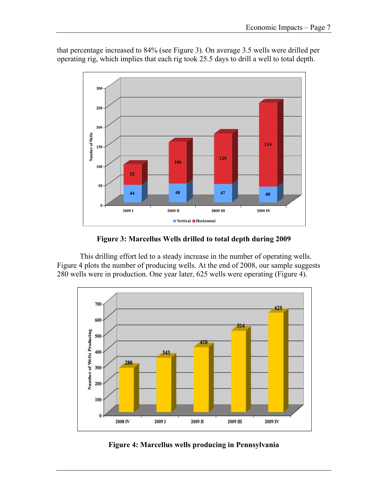

that percentage increased to 84% (see Figure 3). On average 3.5 wells were drilled per operating rig, which implies that each rig took 25.5 days to drill a well to total depth.

**Figure 3: Marcellus Wells drilled to total depth during 2009**

This drilling effort led to a steady increase in the number of operating wells. Figure 4 plots the number of producing wells. At the end of 2008, our sample suggests 280 wells were in production. One year later, 625 wells were operating (Figure 4).



**Figure 4: Marcellus wells producing in Pennsylvania**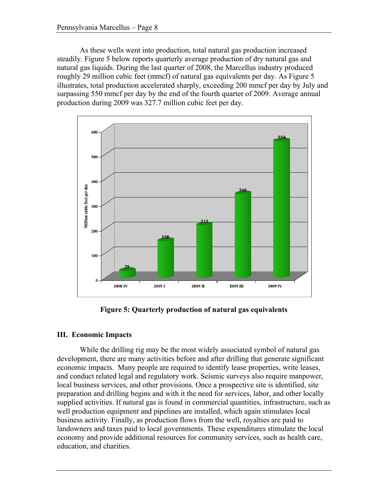As these wells went into production, total natural gas production increased steadily. Figure 5 below reports quarterly average production of dry natural gas and natural gas liquids. During the last quarter of 2008, the Marcellus industry produced roughly 29 million cubic feet (mmcf) of natural gas equivalents per day. As Figure 5 illustrates, total production accelerated sharply, exceeding 200 mmcf per day by July and surpassing 550 mmcf per day by the end of the fourth quarter of 2009. Average annual production during 2009 was 327.7 million cubic feet per day.



**Figure 5: Quarterly production of natural gas equivalents**

### **III. Economic Impacts**

While the drilling rig may be the most widely associated symbol of natural gas development, there are many activities before and after drilling that generate significant economic impacts. Many people are required to identify lease properties, write leases, and conduct related legal and regulatory work. Seismic surveys also require manpower, local business services, and other provisions. Once a prospective site is identified, site preparation and drilling begins and with it the need for services, labor, and other locally supplied activities. If natural gas is found in commercial quantities, infrastructure, such as well production equipment and pipelines are installed, which again stimulates local business activity. Finally, as production flows from the well, royalties are paid to landowners and taxes paid to local governments. These expenditures stimulate the local economy and provide additional resources for community services, such as health care, education, and charities.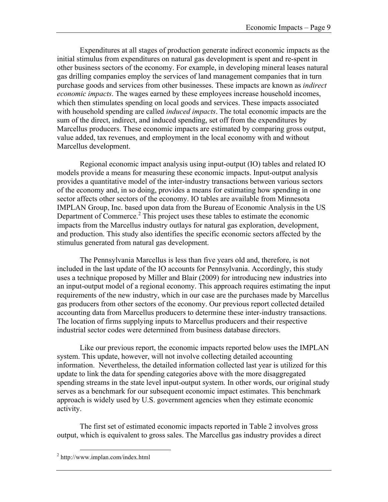Expenditures at all stages of production generate indirect economic impacts as the initial stimulus from expenditures on natural gas development is spent and re-spent in other business sectors of the economy. For example, in developing mineral leases natural gas drilling companies employ the services of land management companies that in turn purchase goods and services from other businesses. These impacts are known as *indirect economic impacts*. The wages earned by these employees increase household incomes, which then stimulates spending on local goods and services. These impacts associated with household spending are called *induced impacts*. The total economic impacts are the sum of the direct, indirect, and induced spending, set off from the expenditures by Marcellus producers. These economic impacts are estimated by comparing gross output, value added, tax revenues, and employment in the local economy with and without Marcellus development.

Regional economic impact analysis using input-output (IO) tables and related IO models provide a means for measuring these economic impacts. Input-output analysis provides a quantitative model of the inter-industry transactions between various sectors of the economy and, in so doing, provides a means for estimating how spending in one sector affects other sectors of the economy. IO tables are available from Minnesota IMPLAN Group, Inc. based upon data from the Bureau of Economic Analysis in the US Department of Commerce.<sup>2</sup> This project uses these tables to estimate the economic impacts from the Marcellus industry outlays for natural gas exploration, development, and production. This study also identifies the specific economic sectors affected by the stimulus generated from natural gas development.

The Pennsylvania Marcellus is less than five years old and, therefore, is not included in the last update of the IO accounts for Pennsylvania. Accordingly, this study uses a technique proposed by Miller and Blair (2009) for introducing new industries into an input-output model of a regional economy. This approach requires estimating the input requirements of the new industry, which in our case are the purchases made by Marcellus gas producers from other sectors of the economy. Our previous report collected detailed accounting data from Marcellus producers to determine these inter-industry transactions. The location of firms supplying inputs to Marcellus producers and their respective industrial sector codes were determined from business database directors.

Like our previous report, the economic impacts reported below uses the IMPLAN system. This update, however, will not involve collecting detailed accounting information. Nevertheless, the detailed information collected last year is utilized for this update to link the data for spending categories above with the more disaggregated spending streams in the state level input-output system. In other words, our original study serves as a benchmark for our subsequent economic impact estimates. This benchmark approach is widely used by U.S. government agencies when they estimate economic activity.

The first set of estimated economic impacts reported in Table 2 involves gross output, which is equivalent to gross sales. The Marcellus gas industry provides a direct

 <sup>2</sup> http://www.implan.com/index.html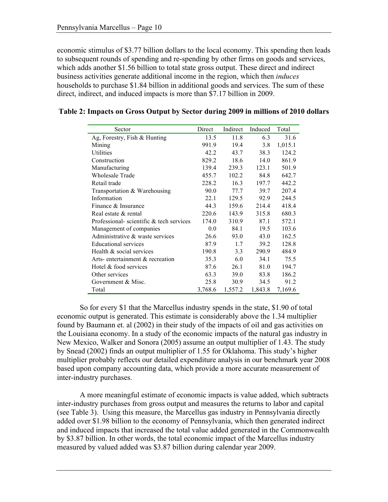economic stimulus of \$3.77 billion dollars to the local economy. This spending then leads to subsequent rounds of spending and re-spending by other firms on goods and services, which adds another \$1.56 billion to total state gross output. These direct and indirect business activities generate additional income in the region, which then *induces* households to purchase \$1.84 billion in additional goods and services. The sum of these direct, indirect, and induced impacts is more than \$7.17 billion in 2009.

| Sector                                  | Direct  | Indirect | Induced | Total   |
|-----------------------------------------|---------|----------|---------|---------|
| Ag, Forestry, Fish & Hunting            | 13.5    | 11.8     | 6.3     | 31.6    |
| Mining                                  | 991.9   | 19.4     | 3.8     | 1,015.1 |
| Utilities                               | 42.2    | 43.7     | 38.3    | 124.2   |
| Construction                            | 829.2   | 18.6     | 14.0    | 861.9   |
| Manufacturing                           | 139.4   | 239.3    | 123.1   | 501.9   |
| Wholesale Trade                         | 455.7   | 102.2    | 84.8    | 642.7   |
| Retail trade                            | 228.2   | 16.3     | 197.7   | 442.2   |
| Transportation & Warehousing            | 90.0    | 77.7     | 39.7    | 207.4   |
| Information                             | 22.1    | 129.5    | 92.9    | 244.5   |
| Finance & Insurance                     | 44.3    | 159.6    | 214.4   | 418.4   |
| Real estate & rental                    | 220.6   | 143.9    | 315.8   | 680.3   |
| Professional-scientific & tech services | 174.0   | 310.9    | 87.1    | 572.1   |
| Management of companies                 | 0.0     | 84.1     | 19.5    | 103.6   |
| Administrative & waste services         | 26.6    | 93.0     | 43.0    | 162.5   |
| <b>Educational services</b>             | 87.9    | 1.7      | 39.2    | 128.8   |
| Health & social services                | 190.8   | 3.3      | 290.9   | 484.9   |
| Arts-entertainment & recreation         | 35.3    | 6.0      | 34.1    | 75.5    |
| Hotel & food services                   | 87.6    | 26.1     | 81.0    | 194.7   |
| Other services                          | 63.3    | 39.0     | 83.8    | 186.2   |
| Government & Misc.                      | 25.8    | 30.9     | 34.5    | 91.2    |
| Total                                   | 3,768.6 | 1,557.2  | 1,843.8 | 7,169.6 |

|  |  |  | Table 2: Impacts on Gross Output by Sector during 2009 in millions of 2010 dollars |
|--|--|--|------------------------------------------------------------------------------------|
|--|--|--|------------------------------------------------------------------------------------|

So for every \$1 that the Marcellus industry spends in the state, \$1.90 of total economic output is generated. This estimate is considerably above the 1.34 multiplier found by Baumann et. al (2002) in their study of the impacts of oil and gas activities on the Louisiana economy. In a study of the economic impacts of the natural gas industry in New Mexico, Walker and Sonora (2005) assume an output multiplier of 1.43. The study by Snead (2002) finds an output multiplier of 1.55 for Oklahoma. This study's higher multiplier probably reflects our detailed expenditure analysis in our benchmark year 2008 based upon company accounting data, which provide a more accurate measurement of inter-industry purchases.

A more meaningful estimate of economic impacts is value added, which subtracts inter-industry purchases from gross output and measures the returns to labor and capital (see Table 3). Using this measure, the Marcellus gas industry in Pennsylvania directly added over \$1.98 billion to the economy of Pennsylvania, which then generated indirect and induced impacts that increased the total value added generated in the Commonwealth by \$3.87 billion. In other words, the total economic impact of the Marcellus industry measured by valued added was \$3.87 billion during calendar year 2009.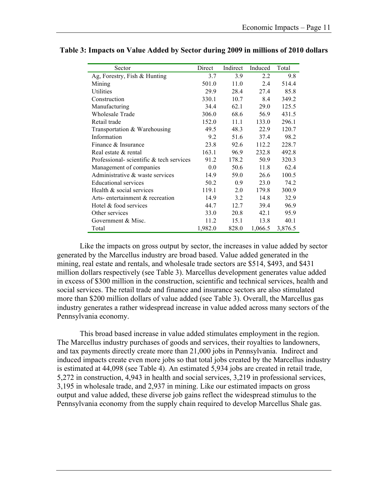| Sector                                  | Direct  | Indirect | Induced | Total   |
|-----------------------------------------|---------|----------|---------|---------|
| Ag, Forestry, Fish $&$ Hunting          | 3.7     | 3.9      | 2.2     | 9.8     |
| Mining                                  | 501.0   | 11.0     | 2.4     | 514.4   |
| Utilities                               | 29.9    | 28.4     | 27.4    | 85.8    |
| Construction                            | 330.1   | 10.7     | 8.4     | 349.2   |
| Manufacturing                           | 34.4    | 62.1     | 29.0    | 125.5   |
| <b>Wholesale Trade</b>                  | 306.0   | 68.6     | 56.9    | 431.5   |
| Retail trade                            | 152.0   | 11.1     | 133.0   | 296.1   |
| Transportation & Warehousing            | 49.5    | 48.3     | 22.9    | 120.7   |
| Information                             | 9.2     | 51.6     | 37.4    | 98.2    |
| Finance & Insurance                     | 23.8    | 92.6     | 112.2   | 228.7   |
| Real estate & rental                    | 163.1   | 96.9     | 232.8   | 492.8   |
| Professional-scientific & tech services | 91.2    | 178.2    | 50.9    | 320.3   |
| Management of companies                 | 0.0     | 50.6     | 11.8    | 62.4    |
| Administrative & waste services         | 14.9    | 59.0     | 26.6    | 100.5   |
| <b>Educational services</b>             | 50.2    | 0.9      | 23.0    | 74.2    |
| Health & social services                | 119.1   | 2.0      | 179.8   | 300.9   |
| Arts-entertainment & recreation         | 14.9    | 3.2      | 14.8    | 32.9    |
| Hotel & food services                   | 44.7    | 12.7     | 39.4    | 96.9    |
| Other services                          | 33.0    | 20.8     | 42.1    | 95.9    |
| Government & Misc.                      | 11.2    | 15.1     | 13.8    | 40.1    |
| Total                                   | 1,982.0 | 828.0    | 1,066.5 | 3,876.5 |

| Table 3: Impacts on Value Added by Sector during 2009 in millions of 2010 dollars |  |  |
|-----------------------------------------------------------------------------------|--|--|
|                                                                                   |  |  |

Like the impacts on gross output by sector, the increases in value added by sector generated by the Marcellus industry are broad based. Value added generated in the mining, real estate and rentals, and wholesale trade sectors are \$514, \$493, and \$431 million dollars respectively (see Table 3). Marcellus development generates value added in excess of \$300 million in the construction, scientific and technical services, health and social services. The retail trade and finance and insurance sectors are also stimulated more than \$200 million dollars of value added (see Table 3). Overall, the Marcellus gas industry generates a rather widespread increase in value added across many sectors of the Pennsylvania economy.

This broad based increase in value added stimulates employment in the region. The Marcellus industry purchases of goods and services, their royalties to landowners, and tax payments directly create more than 21,000 jobs in Pennsylvania. Indirect and induced impacts create even more jobs so that total jobs created by the Marcellus industry is estimated at 44,098 (see Table 4). An estimated 5,934 jobs are created in retail trade, 5,272 in construction, 4,943 in health and social services, 3,219 in professional services, 3,195 in wholesale trade, and 2,937 in mining. Like our estimated impacts on gross output and value added, these diverse job gains reflect the widespread stimulus to the Pennsylvania economy from the supply chain required to develop Marcellus Shale gas.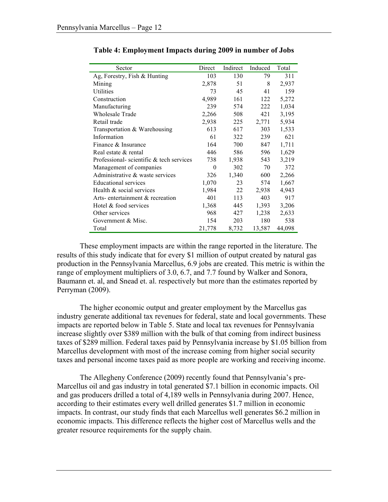| Sector                                  | Direct | Indirect | Induced | Total  |
|-----------------------------------------|--------|----------|---------|--------|
| Ag, Forestry, Fish & Hunting            | 103    | 130      | 79      | 311    |
| Mining                                  | 2,878  | 51       | 8       | 2,937  |
| <b>Utilities</b>                        | 73     | 45       | 41      | 159    |
| Construction                            | 4,989  | 161      | 122     | 5,272  |
| Manufacturing                           | 239    | 574      | 222     | 1,034  |
| Wholesale Trade                         | 2,266  | 508      | 421     | 3,195  |
| Retail trade                            | 2,938  | 225      | 2,771   | 5,934  |
| Transportation & Warehousing            | 613    | 617      | 303     | 1,533  |
| Information                             | 61     | 322      | 239     | 621    |
| Finance & Insurance                     | 164    | 700      | 847     | 1,711  |
| Real estate & rental                    | 446    | 586      | 596     | 1,629  |
| Professional-scientific & tech services | 738    | 1,938    | 543     | 3,219  |
| Management of companies                 | 0      | 302      | 70      | 372    |
| Administrative & waste services         | 326    | 1,340    | 600     | 2,266  |
| <b>Educational services</b>             | 1,070  | 23       | 574     | 1,667  |
| Health & social services                | 1,984  | 22       | 2,938   | 4,943  |
| Arts-entertainment & recreation         | 401    | 113      | 403     | 917    |
| Hotel & food services                   | 1,368  | 445      | 1,393   | 3,206  |
| Other services                          | 968    | 427      | 1,238   | 2,633  |
| Government & Misc.                      | 154    | 203      | 180     | 538    |
| Total                                   | 21,778 | 8,732    | 13,587  | 44,098 |

#### **Table 4: Employment Impacts during 2009 in number of Jobs**

These employment impacts are within the range reported in the literature. The results of this study indicate that for every \$1 million of output created by natural gas production in the Pennsylvania Marcellus, 6.9 jobs are created. This metric is within the range of employment multipliers of 3.0, 6.7, and 7.7 found by Walker and Sonora, Baumann et. al, and Snead et. al. respectively but more than the estimates reported by Perryman (2009).

The higher economic output and greater employment by the Marcellus gas industry generate additional tax revenues for federal, state and local governments. These impacts are reported below in Table 5. State and local tax revenues for Pennsylvania increase slightly over \$389 million with the bulk of that coming from indirect business taxes of \$289 million. Federal taxes paid by Pennsylvania increase by \$1.05 billion from Marcellus development with most of the increase coming from higher social security taxes and personal income taxes paid as more people are working and receiving income.

The Allegheny Conference (2009) recently found that Pennsylvania's pre-Marcellus oil and gas industry in total generated \$7.1 billion in economic impacts. Oil and gas producers drilled a total of 4,189 wells in Pennsylvania during 2007. Hence, according to their estimates every well drilled generates \$1.7 million in economic impacts. In contrast, our study finds that each Marcellus well generates \$6.2 million in economic impacts. This difference reflects the higher cost of Marcellus wells and the greater resource requirements for the supply chain.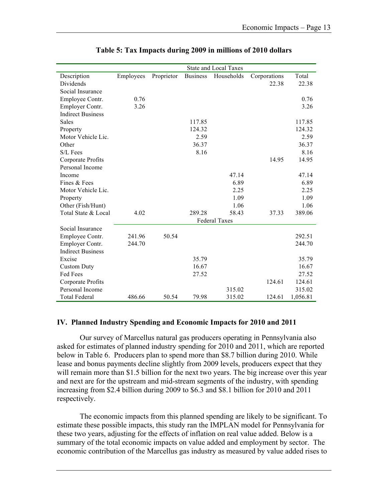|                          |           |            |                 | <b>State and Local Taxes</b> |              |          |
|--------------------------|-----------|------------|-----------------|------------------------------|--------------|----------|
| Description              | Employees | Proprietor | <b>Business</b> | Households                   | Corporations | Total    |
| <b>Dividends</b>         |           |            |                 |                              | 22.38        | 22.38    |
| Social Insurance         |           |            |                 |                              |              |          |
| Employee Contr.          | 0.76      |            |                 |                              |              | 0.76     |
| Employer Contr.          | 3.26      |            |                 |                              |              | 3.26     |
| <b>Indirect Business</b> |           |            |                 |                              |              |          |
| Sales                    |           |            | 117.85          |                              |              | 117.85   |
| Property                 |           |            | 124.32          |                              |              | 124.32   |
| Motor Vehicle Lic.       |           |            | 2.59            |                              |              | 2.59     |
| Other                    |           |            | 36.37           |                              |              | 36.37    |
| S/L Fees                 |           |            | 8.16            |                              |              | 8.16     |
| Corporate Profits        |           |            |                 |                              | 14.95        | 14.95    |
| Personal Income          |           |            |                 |                              |              |          |
| Income                   |           |            |                 | 47.14                        |              | 47.14    |
| Fines & Fees             |           |            |                 | 6.89                         |              | 6.89     |
| Motor Vehicle Lic.       |           |            |                 | 2.25                         |              | 2.25     |
| Property                 |           |            |                 | 1.09                         |              | 1.09     |
| Other (Fish/Hunt)        |           |            |                 | 1.06                         |              | 1.06     |
| Total State & Local      | 4.02      |            | 289.28          | 58.43                        | 37.33        | 389.06   |
|                          |           |            |                 | <b>Federal Taxes</b>         |              |          |
| Social Insurance         |           |            |                 |                              |              |          |
| Employee Contr.          | 241.96    | 50.54      |                 |                              |              | 292.51   |
| Employer Contr.          | 244.70    |            |                 |                              |              | 244.70   |
| <b>Indirect Business</b> |           |            |                 |                              |              |          |
| Excise                   |           |            | 35.79           |                              |              | 35.79    |
| <b>Custom Duty</b>       |           |            | 16.67           |                              |              | 16.67    |
| Fed Fees                 |           |            | 27.52           |                              |              | 27.52    |
| Corporate Profits        |           |            |                 |                              | 124.61       | 124.61   |
| Personal Income          |           |            |                 | 315.02                       |              | 315.02   |
| <b>Total Federal</b>     | 486.66    | 50.54      | 79.98           | 315.02                       | 124.61       | 1,056.81 |

#### **Table 5: Tax Impacts during 2009 in millions of 2010 dollars**

#### **IV. Planned Industry Spending and Economic Impacts for 2010 and 2011**

Our survey of Marcellus natural gas producers operating in Pennsylvania also asked for estimates of planned industry spending for 2010 and 2011, which are reported below in Table 6. Producers plan to spend more than \$8.7 billion during 2010. While lease and bonus payments decline slightly from 2009 levels, producers expect that they will remain more than \$1.5 billion for the next two years. The big increase over this year and next are for the upstream and mid-stream segments of the industry, with spending increasing from \$2.4 billion during 2009 to \$6.3 and \$8.1 billion for 2010 and 2011 respectively.

The economic impacts from this planned spending are likely to be significant. To estimate these possible impacts, this study ran the IMPLAN model for Pennsylvania for these two years, adjusting for the effects of inflation on real value added. Below is a summary of the total economic impacts on value added and employment by sector. The economic contribution of the Marcellus gas industry as measured by value added rises to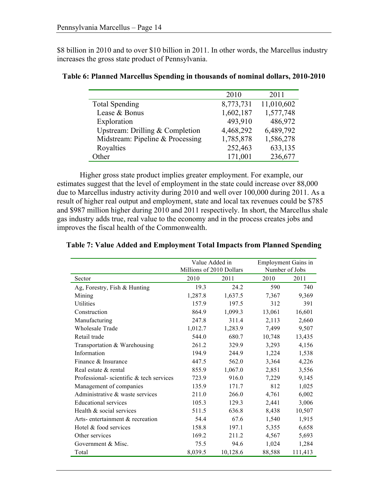\$8 billion in 2010 and to over \$10 billion in 2011. In other words, the Marcellus industry increases the gross state product of Pennsylvania.

|                                   | 2010      | 2011       |
|-----------------------------------|-----------|------------|
| <b>Total Spending</b>             | 8,773,731 | 11,010,602 |
| Lease & Bonus                     | 1,602,187 | 1,577,748  |
| Exploration                       | 493,910   | 486,972    |
| Upstream: Drilling $&$ Completion | 4,468,292 | 6,489,792  |
| Midstream: Pipeline & Processing  | 1,785,878 | 1,586,278  |
| Royalties                         | 252,463   | 633,135    |
| Other                             | 171,001   | 236,677    |

#### **Table 6: Planned Marcellus Spending in thousands of nominal dollars, 2010-2010**

Higher gross state product implies greater employment. For example, our estimates suggest that the level of employment in the state could increase over 88,000 due to Marcellus industry activity during 2010 and well over 100,000 during 2011. As a result of higher real output and employment, state and local tax revenues could be \$785 and \$987 million higher during 2010 and 2011 respectively. In short, the Marcellus shale gas industry adds true, real value to the economy and in the process creates jobs and improves the fiscal health of the Commonwealth.

|                                         | Value Added in           |          | <b>Employment Gains in</b> |         |  |
|-----------------------------------------|--------------------------|----------|----------------------------|---------|--|
|                                         | Millions of 2010 Dollars |          | Number of Jobs             |         |  |
| Sector                                  | 2010                     | 2011     | 2010                       | 2011    |  |
| Ag, Forestry, Fish & Hunting            | 19.3                     | 24.2     | 590                        | 740     |  |
| Mining                                  | 1,287.8                  | 1,637.5  | 7,367                      | 9,369   |  |
| Utilities                               | 157.9                    | 197.5    | 312                        | 391     |  |
| Construction                            | 864.9                    | 1,099.3  | 13,061                     | 16,601  |  |
| Manufacturing                           | 247.8                    | 311.4    | 2,113                      | 2,660   |  |
| <b>Wholesale Trade</b>                  | 1,012.7                  | 1,283.9  | 7,499                      | 9,507   |  |
| Retail trade                            | 544.0                    | 680.7    | 10,748                     | 13,435  |  |
| Transportation & Warehousing            | 261.2                    | 329.9    | 3,293                      | 4,156   |  |
| Information                             | 194.9                    | 244.9    | 1,224                      | 1,538   |  |
| Finance & Insurance                     | 447.5                    | 562.0    | 3,364                      | 4,226   |  |
| Real estate & rental                    | 855.9                    | 1,067.0  | 2,851                      | 3,556   |  |
| Professional-scientific & tech services | 723.9                    | 916.0    | 7,229                      | 9,145   |  |
| Management of companies                 | 135.9                    | 171.7    | 812                        | 1,025   |  |
| Administrative & waste services         | 211.0                    | 266.0    | 4,761                      | 6,002   |  |
| <b>Educational services</b>             | 105.3                    | 129.3    | 2,441                      | 3,006   |  |
| Health & social services                | 511.5                    | 636.8    | 8,438                      | 10,507  |  |
| Arts-entertainment & recreation         | 54.4                     | 67.6     | 1,540                      | 1,915   |  |
| Hotel & food services                   | 158.8                    | 197.1    | 5,355                      | 6,658   |  |
| Other services                          | 169.2                    | 211.2    | 4,567                      | 5,693   |  |
| Government & Misc.                      | 75.5                     | 94.6     | 1,024                      | 1,284   |  |
| Total                                   | 8,039.5                  | 10,128.6 | 88,588                     | 111,413 |  |

#### **Table 7: Value Added and Employment Total Impacts from Planned Spending**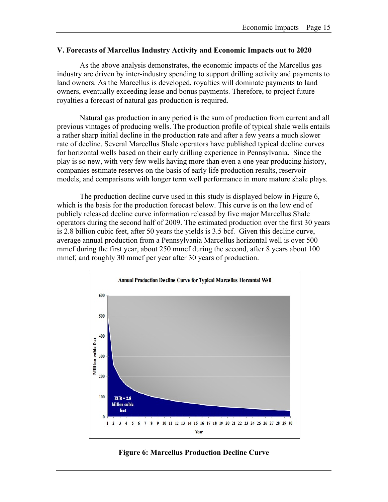#### **V. Forecasts of Marcellus Industry Activity and Economic Impacts out to 2020**

As the above analysis demonstrates, the economic impacts of the Marcellus gas industry are driven by inter-industry spending to support drilling activity and payments to land owners. As the Marcellus is developed, royalties will dominate payments to land owners, eventually exceeding lease and bonus payments. Therefore, to project future royalties a forecast of natural gas production is required.

Natural gas production in any period is the sum of production from current and all previous vintages of producing wells. The production profile of typical shale wells entails a rather sharp initial decline in the production rate and after a few years a much slower rate of decline. Several Marcellus Shale operators have published typical decline curves for horizontal wells based on their early drilling experience in Pennsylvania. Since the play is so new, with very few wells having more than even a one year producing history, companies estimate reserves on the basis of early life production results, reservoir models, and comparisons with longer term well performance in more mature shale plays.

The production decline curve used in this study is displayed below in Figure 6, which is the basis for the production forecast below. This curve is on the low end of publicly released decline curve information released by five major Marcellus Shale operators during the second half of 2009. The estimated production over the first 30 years is 2.8 billion cubic feet, after 50 years the yields is 3.5 bcf. Given this decline curve, average annual production from a Pennsylvania Marcellus horizontal well is over 500 mmcf during the first year, about 250 mmcf during the second, after 8 years about 100 mmcf, and roughly 30 mmcf per year after 30 years of production.



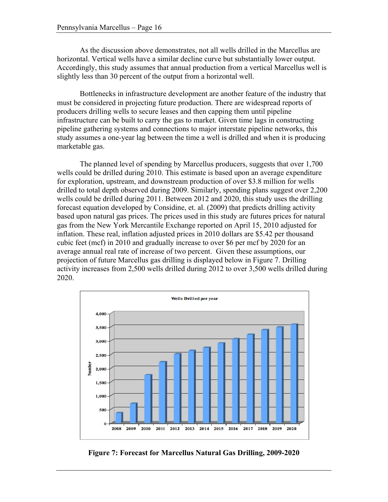As the discussion above demonstrates, not all wells drilled in the Marcellus are horizontal. Vertical wells have a similar decline curve but substantially lower output. Accordingly, this study assumes that annual production from a vertical Marcellus well is slightly less than 30 percent of the output from a horizontal well.

Bottlenecks in infrastructure development are another feature of the industry that must be considered in projecting future production. There are widespread reports of producers drilling wells to secure leases and then capping them until pipeline infrastructure can be built to carry the gas to market. Given time lags in constructing pipeline gathering systems and connections to major interstate pipeline networks, this study assumes a one-year lag between the time a well is drilled and when it is producing marketable gas.

The planned level of spending by Marcellus producers, suggests that over 1,700 wells could be drilled during 2010. This estimate is based upon an average expenditure for exploration, upstream, and downstream production of over \$3.8 million for wells drilled to total depth observed during 2009. Similarly, spending plans suggest over 2,200 wells could be drilled during 2011. Between 2012 and 2020, this study uses the drilling forecast equation developed by Considine, et. al. (2009) that predicts drilling activity based upon natural gas prices. The prices used in this study are futures prices for natural gas from the New York Mercantile Exchange reported on April 15, 2010 adjusted for inflation. These real, inflation adjusted prices in 2010 dollars are \$5.42 per thousand cubic feet (mcf) in 2010 and gradually increase to over \$6 per mcf by 2020 for an average annual real rate of increase of two percent. Given these assumptions, our projection of future Marcellus gas drilling is displayed below in Figure 7. Drilling activity increases from 2,500 wells drilled during 2012 to over 3,500 wells drilled during 2020.



**Figure 7: Forecast for Marcellus Natural Gas Drilling, 2009-2020**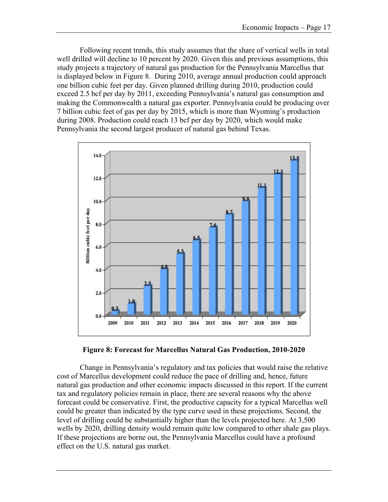Following recent trends, this study assumes that the share of vertical wells in total well drilled will decline to 10 percent by 2020. Given this and previous assumptions, this study projects a trajectory of natural gas production for the Pennsylvania Marcellus that is displayed below in Figure 8. During 2010, average annual production could approach one billion cubic feet per day. Given planned drilling during 2010, production could exceed 2.5 bcf per day by 2011, exceeding Pennsylvania's natural gas consumption and making the Commonwealth a natural gas exporter. Pennsylvania could be producing over 7 billion cubic feet of gas per day by 2015, which is more than Wyoming's production during 2008. Production could reach 13 bcf per day by 2020, which would make Pennsylvania the second largest producer of natural gas behind Texas.





Change in Pennsylvania's regulatory and tax policies that would raise the relative cost of Marcellus development could reduce the pace of drilling and, hence, future natural gas production and other economic impacts discussed in this report. If the current tax and regulatory policies remain in place, there are several reasons why the above forecast could be conservative. First, the productive capacity for a typical Marcellus well could be greater than indicated by the type curve used in these projections. Second, the level of drilling could be substantially higher than the levels projected here. At 3,500 wells by 2020, drilling density would remain quite low compared to other shale gas plays. If these projections are borne out, the Pennsylvania Marcellus could have a profound effect on the U.S. natural gas market.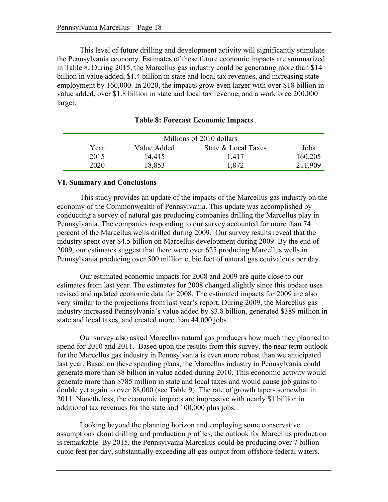This level of future drilling and development activity will significantly stimulate the Pennsylvania economy. Estimates of these future economic impacts are summarized in Table 8. During 2015, the Marcellus gas industry could be generating more than \$14 billion in value added, \$1.4 billion in state and local tax revenues, and increasing state employment by 160,000. In 2020, the impacts grow even larger with over \$18 billion in value added, over \$1.8 billion in state and local tax revenue, and a workforce 200,000 larger.

| Millions of 2010 dollars |             |                     |         |  |
|--------------------------|-------------|---------------------|---------|--|
| Year                     | Value Added | State & Local Taxes | Jobs    |  |
| 2015                     | 14,415      | 1,417               | 160,205 |  |
| 2020                     | 18,853      | .872                | 211,909 |  |

**Table 8: Forecast Economic Impacts**

#### **VI. Summary and Conclusions**

This study provides an update of the impacts of the Marcellus gas industry on the economy of the Commonwealth of Pennsylvania. This update was accomplished by conducting a survey of natural gas producing companies drilling the Marcellus play in Pennsylvania. The companies responding to our survey accounted for more than 74 percent of the Marcellus wells drilled during 2009. Our survey results reveal that the industry spent over \$4.5 billion on Marcellus development during 2009. By the end of 2009, our estimates suggest that there were over 625 producing Marcellus wells in Pennsylvania producing over 500 million cubic feet of natural gas equivalents per day.

Our estimated economic impacts for 2008 and 2009 are quite close to our estimates from last year. The estimates for 2008 changed slightly since this update uses revised and updated economic data for 2008. The estimated impacts for 2009 are also very similar to the projections from last year's report. During 2009, the Marcellus gas industry increased Pennsylvania's value added by \$3.8 billion, generated \$389 million in state and local taxes, and created more than 44,000 jobs.

Our survey also asked Marcellus natural gas producers how much they planned to spend for 2010 and 2011. Based upon the results from this survey, the near term outlook for the Marcellus gas industry in Pennsylvania is even more robust than we anticipated last year. Based on these spending plans, the Marcellus industry in Pennsylvania could generate more than \$8 billion in value added during 2010. This economic activity would generate more than \$785 million in state and local taxes and would cause job gains to double yet again to over 88,000 (see Table 9). The rate of growth tapers somewhat in 2011. Nonetheless, the economic impacts are impressive with nearly \$1 billion in additional tax revenues for the state and 100,000 plus jobs.

Looking beyond the planning horizon and employing some conservative assumptions about drilling and production profiles, the outlook for Marcellus production is remarkable. By 2015, the Pennsylvania Marcellus could be producing over 7 billion cubic feet per day, substantially exceeding all gas output from offshore federal waters.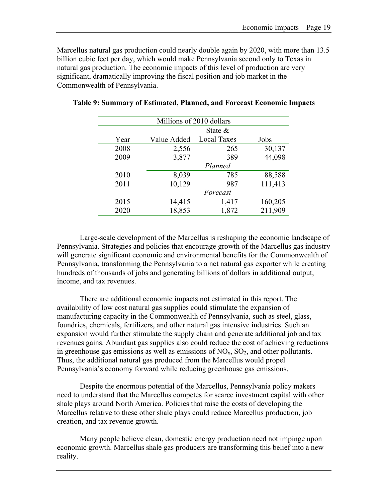Marcellus natural gas production could nearly double again by 2020, with more than 13.5 billion cubic feet per day, which would make Pennsylvania second only to Texas in natural gas production. The economic impacts of this level of production are very significant, dramatically improving the fiscal position and job market in the Commonwealth of Pennsylvania.

| Millions of 2010 dollars |             |                    |         |  |
|--------------------------|-------------|--------------------|---------|--|
|                          |             | State $\&$         |         |  |
| Year                     | Value Added | <b>Local Taxes</b> | Jobs    |  |
| 2008                     | 2,556       | 265                | 30,137  |  |
| 2009                     | 3,877       | 389                | 44,098  |  |
|                          |             | Planned            |         |  |
| 2010                     | 8,039       | 785                | 88,588  |  |
| 2011                     | 10,129      | 987                | 111,413 |  |
|                          |             | Forecast           |         |  |
| 2015                     | 14,415      | 1,417              | 160,205 |  |
| 2020                     | 18,853      | 1,872              | 211,909 |  |

#### **Table 9: Summary of Estimated, Planned, and Forecast Economic Impacts**

Large-scale development of the Marcellus is reshaping the economic landscape of Pennsylvania. Strategies and policies that encourage growth of the Marcellus gas industry will generate significant economic and environmental benefits for the Commonwealth of Pennsylvania, transforming the Pennsylvania to a net natural gas exporter while creating hundreds of thousands of jobs and generating billions of dollars in additional output, income, and tax revenues.

There are additional economic impacts not estimated in this report. The availability of low cost natural gas supplies could stimulate the expansion of manufacturing capacity in the Commonwealth of Pennsylvania, such as steel, glass, foundries, chemicals, fertilizers, and other natural gas intensive industries. Such an expansion would further stimulate the supply chain and generate additional job and tax revenues gains. Abundant gas supplies also could reduce the cost of achieving reductions in greenhouse gas emissions as well as emissions of  $NO<sub>x</sub>$ ,  $SO<sub>2</sub>$ , and other pollutants. Thus, the additional natural gas produced from the Marcellus would propel Pennsylvania's economy forward while reducing greenhouse gas emissions.

Despite the enormous potential of the Marcellus, Pennsylvania policy makers need to understand that the Marcellus competes for scarce investment capital with other shale plays around North America. Policies that raise the costs of developing the Marcellus relative to these other shale plays could reduce Marcellus production, job creation, and tax revenue growth.

Many people believe clean, domestic energy production need not impinge upon economic growth. Marcellus shale gas producers are transforming this belief into a new reality.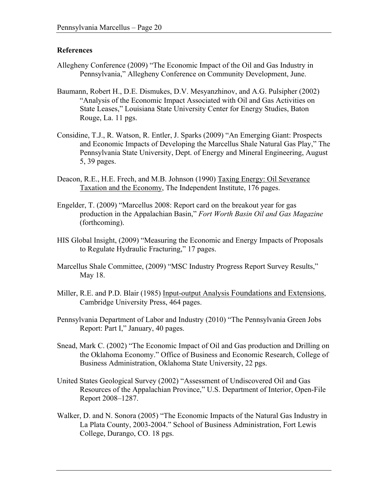#### **References**

- Allegheny Conference (2009) "The Economic Impact of the Oil and Gas Industry in Pennsylvania," Allegheny Conference on Community Development, June.
- Baumann, Robert H., D.E. Dismukes, D.V. Mesyanzhinov, and A.G. Pulsipher (2002) "Analysis of the Economic Impact Associated with Oil and Gas Activities on State Leases," Louisiana State University Center for Energy Studies, Baton Rouge, La. 11 pgs.
- Considine, T.J., R. Watson, R. Entler, J. Sparks (2009) "An Emerging Giant: Prospects and Economic Impacts of Developing the Marcellus Shale Natural Gas Play," The Pennsylvania State University, Dept. of Energy and Mineral Engineering, August 5, 39 pages.
- Deacon, R.E., H.E. Frech, and M.B. Johnson (1990) Taxing Energy: Oil Severance Taxation and the Economy, The Independent Institute, 176 pages.
- Engelder, T. (2009) "Marcellus 2008: Report card on the breakout year for gas production in the Appalachian Basin," *Fort Worth Basin Oil and Gas Magazine* (forthcoming).
- HIS Global Insight, (2009) "Measuring the Economic and Energy Impacts of Proposals to Regulate Hydraulic Fracturing," 17 pages.
- Marcellus Shale Committee, (2009) "MSC Industry Progress Report Survey Results," May 18.
- Miller, R.E. and P.D. Blair (1985) Input-output Analysis Foundations and Extensions, Cambridge University Press, 464 pages.
- Pennsylvania Department of Labor and Industry (2010) "The Pennsylvania Green Jobs Report: Part I," January, 40 pages.
- Snead, Mark C. (2002) "The Economic Impact of Oil and Gas production and Drilling on the Oklahoma Economy." Office of Business and Economic Research, College of Business Administration, Oklahoma State University, 22 pgs.
- United States Geological Survey (2002) "Assessment of Undiscovered Oil and Gas Resources of the Appalachian Province," U.S. Department of Interior, Open-File Report 2008–1287.
- Walker, D. and N. Sonora (2005) "The Economic Impacts of the Natural Gas Industry in La Plata County, 2003-2004." School of Business Administration, Fort Lewis College, Durango, CO. 18 pgs.